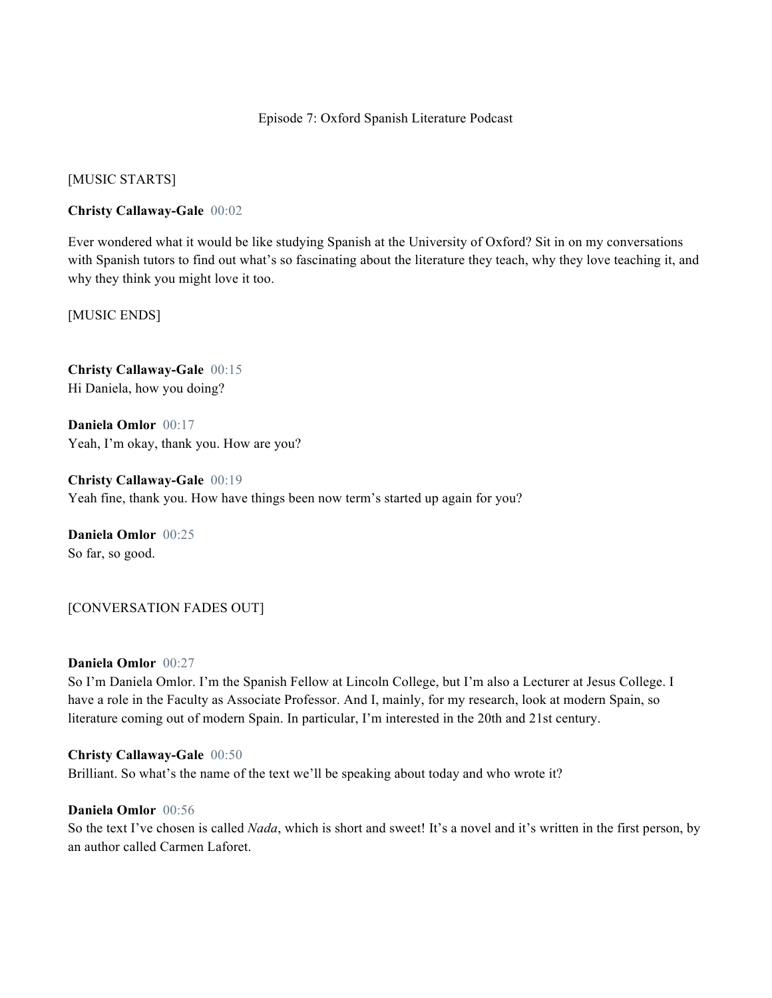# Episode 7: Oxford Spanish Literature Podcast

[MUSIC STARTS]

# **Christy Callaway-Gale** 00:02

Ever wondered what it would be like studying Spanish at the University of Oxford? Sit in on my conversations with Spanish tutors to find out what's so fascinating about the literature they teach, why they love teaching it, and why they think you might love it too.

[MUSIC ENDS]

**Christy Callaway-Gale** 00:15 Hi Daniela, how you doing?

**Daniela Omlor** 00:17 Yeah, I'm okay, thank you. How are you?

**Christy Callaway-Gale** 00:19 Yeah fine, thank you. How have things been now term's started up again for you?

**Daniela Omlor** 00:25 So far, so good.

[CONVERSATION FADES OUT]

### **Daniela Omlor** 00:27

So I'm Daniela Omlor. I'm the Spanish Fellow at Lincoln College, but I'm also a Lecturer at Jesus College. I have a role in the Faculty as Associate Professor. And I, mainly, for my research, look at modern Spain, so literature coming out of modern Spain. In particular, I'm interested in the 20th and 21st century.

#### **Christy Callaway-Gale** 00:50

Brilliant. So what's the name of the text we'll be speaking about today and who wrote it?

# **Daniela Omlor** 00:56

So the text I've chosen is called *Nada*, which is short and sweet! It's a novel and it's written in the first person, by an author called Carmen Laforet.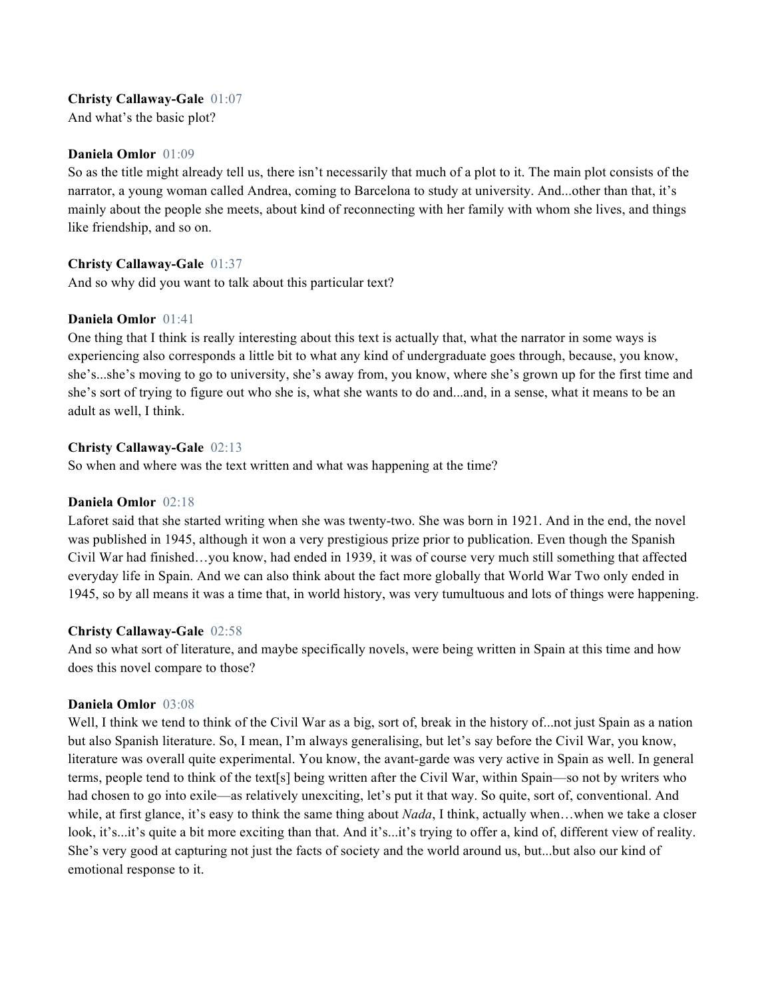# **Christy Callaway-Gale** 01:07

And what's the basic plot?

## **Daniela Omlor** 01:09

So as the title might already tell us, there isn't necessarily that much of a plot to it. The main plot consists of the narrator, a young woman called Andrea, coming to Barcelona to study at university. And...other than that, it's mainly about the people she meets, about kind of reconnecting with her family with whom she lives, and things like friendship, and so on.

# **Christy Callaway-Gale** 01:37

And so why did you want to talk about this particular text?

# **Daniela Omlor** 01:41

One thing that I think is really interesting about this text is actually that, what the narrator in some ways is experiencing also corresponds a little bit to what any kind of undergraduate goes through, because, you know, she's...she's moving to go to university, she's away from, you know, where she's grown up for the first time and she's sort of trying to figure out who she is, what she wants to do and...and, in a sense, what it means to be an adult as well, I think.

# **Christy Callaway-Gale** 02:13

So when and where was the text written and what was happening at the time?

## **Daniela Omlor** 02:18

Laforet said that she started writing when she was twenty-two. She was born in 1921. And in the end, the novel was published in 1945, although it won a very prestigious prize prior to publication. Even though the Spanish Civil War had finished…you know, had ended in 1939, it was of course very much still something that affected everyday life in Spain. And we can also think about the fact more globally that World War Two only ended in 1945, so by all means it was a time that, in world history, was very tumultuous and lots of things were happening.

# **Christy Callaway-Gale** 02:58

And so what sort of literature, and maybe specifically novels, were being written in Spain at this time and how does this novel compare to those?

# **Daniela Omlor** 03:08

Well, I think we tend to think of the Civil War as a big, sort of, break in the history of...not just Spain as a nation but also Spanish literature. So, I mean, I'm always generalising, but let's say before the Civil War, you know, literature was overall quite experimental. You know, the avant-garde was very active in Spain as well. In general terms, people tend to think of the text[s] being written after the Civil War, within Spain—so not by writers who had chosen to go into exile—as relatively unexciting, let's put it that way. So quite, sort of, conventional. And while, at first glance, it's easy to think the same thing about *Nada*, I think, actually when…when we take a closer look, it's...it's quite a bit more exciting than that. And it's...it's trying to offer a, kind of, different view of reality. She's very good at capturing not just the facts of society and the world around us, but...but also our kind of emotional response to it.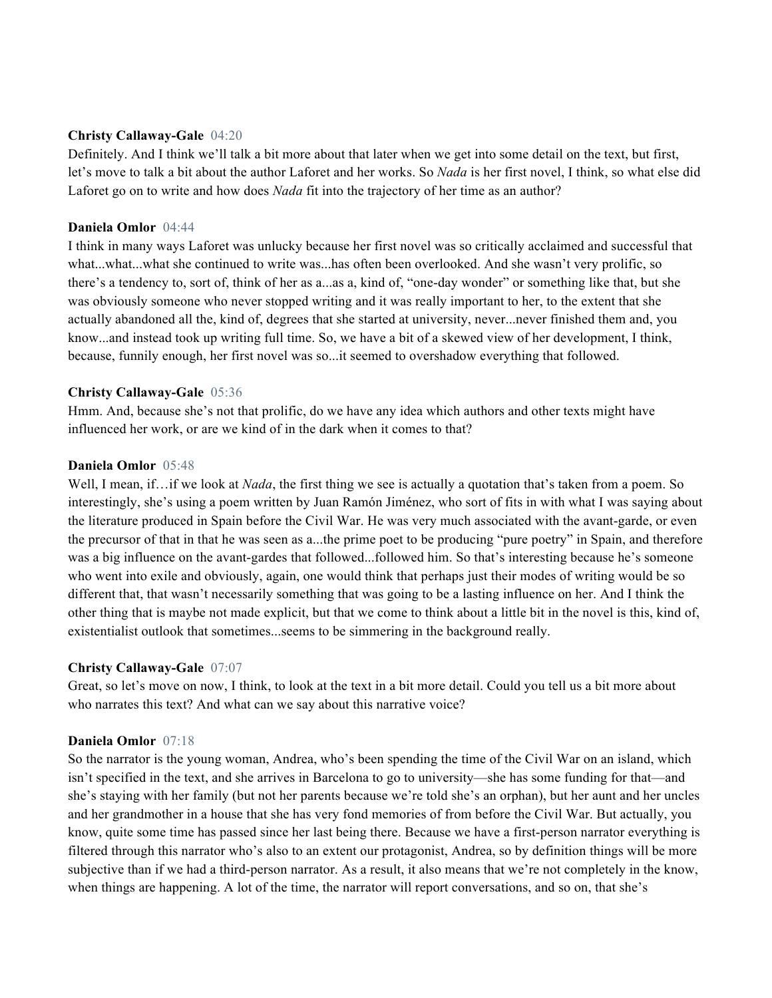## **Christy Callaway-Gale** 04:20

Definitely. And I think we'll talk a bit more about that later when we get into some detail on the text, but first, let's move to talk a bit about the author Laforet and her works. So *Nada* is her first novel, I think, so what else did Laforet go on to write and how does *Nada* fit into the trajectory of her time as an author?

## **Daniela Omlor** 04:44

I think in many ways Laforet was unlucky because her first novel was so critically acclaimed and successful that what...what...what she continued to write was...has often been overlooked. And she wasn't very prolific, so there's a tendency to, sort of, think of her as a...as a, kind of, "one-day wonder" or something like that, but she was obviously someone who never stopped writing and it was really important to her, to the extent that she actually abandoned all the, kind of, degrees that she started at university, never...never finished them and, you know...and instead took up writing full time. So, we have a bit of a skewed view of her development, I think, because, funnily enough, her first novel was so...it seemed to overshadow everything that followed.

# **Christy Callaway-Gale** 05:36

Hmm. And, because she's not that prolific, do we have any idea which authors and other texts might have influenced her work, or are we kind of in the dark when it comes to that?

## **Daniela Omlor** 05:48

Well, I mean, if... if we look at *Nada*, the first thing we see is actually a quotation that's taken from a poem. So interestingly, she's using a poem written by Juan Ramón Jiménez, who sort of fits in with what I was saying about the literature produced in Spain before the Civil War. He was very much associated with the avant-garde, or even the precursor of that in that he was seen as a...the prime poet to be producing "pure poetry" in Spain, and therefore was a big influence on the avant-gardes that followed...followed him. So that's interesting because he's someone who went into exile and obviously, again, one would think that perhaps just their modes of writing would be so different that, that wasn't necessarily something that was going to be a lasting influence on her. And I think the other thing that is maybe not made explicit, but that we come to think about a little bit in the novel is this, kind of, existentialist outlook that sometimes...seems to be simmering in the background really.

#### **Christy Callaway-Gale** 07:07

Great, so let's move on now, I think, to look at the text in a bit more detail. Could you tell us a bit more about who narrates this text? And what can we say about this narrative voice?

#### **Daniela Omlor** 07:18

So the narrator is the young woman, Andrea, who's been spending the time of the Civil War on an island, which isn't specified in the text, and she arrives in Barcelona to go to university—she has some funding for that—and she's staying with her family (but not her parents because we're told she's an orphan), but her aunt and her uncles and her grandmother in a house that she has very fond memories of from before the Civil War. But actually, you know, quite some time has passed since her last being there. Because we have a first-person narrator everything is filtered through this narrator who's also to an extent our protagonist, Andrea, so by definition things will be more subjective than if we had a third-person narrator. As a result, it also means that we're not completely in the know, when things are happening. A lot of the time, the narrator will report conversations, and so on, that she's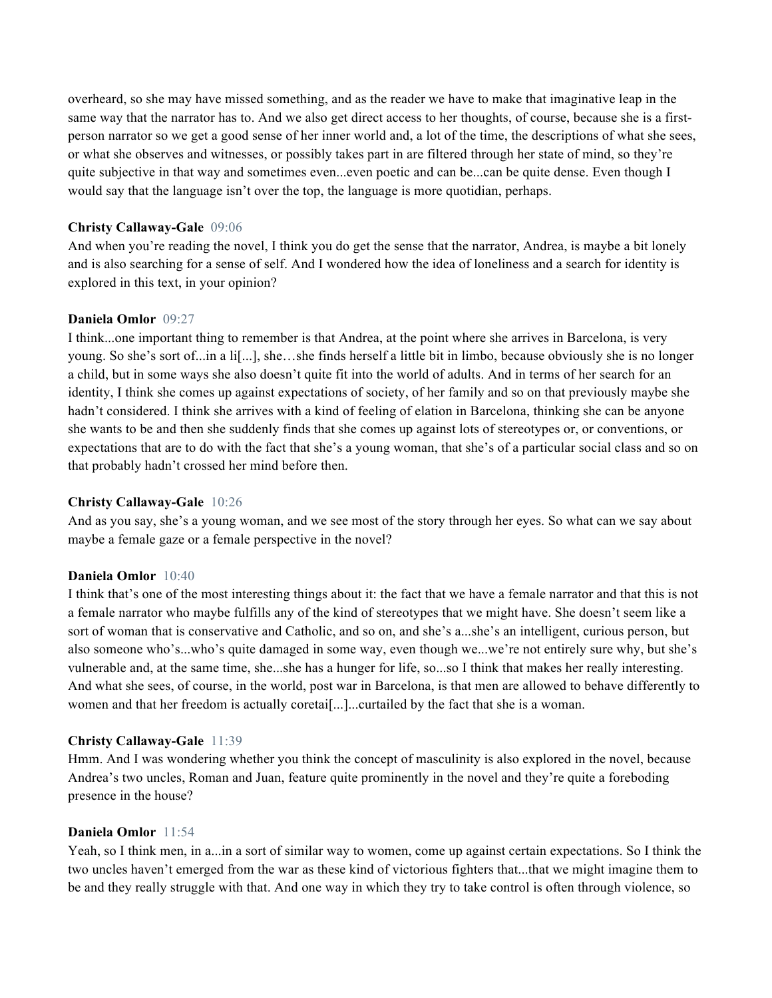overheard, so she may have missed something, and as the reader we have to make that imaginative leap in the same way that the narrator has to. And we also get direct access to her thoughts, of course, because she is a firstperson narrator so we get a good sense of her inner world and, a lot of the time, the descriptions of what she sees, or what she observes and witnesses, or possibly takes part in are filtered through her state of mind, so they're quite subjective in that way and sometimes even...even poetic and can be...can be quite dense. Even though I would say that the language isn't over the top, the language is more quotidian, perhaps.

# **Christy Callaway-Gale** 09:06

And when you're reading the novel, I think you do get the sense that the narrator, Andrea, is maybe a bit lonely and is also searching for a sense of self. And I wondered how the idea of loneliness and a search for identity is explored in this text, in your opinion?

# **Daniela Omlor** 09:27

I think...one important thing to remember is that Andrea, at the point where she arrives in Barcelona, is very young. So she's sort of...in a li[...], she…she finds herself a little bit in limbo, because obviously she is no longer a child, but in some ways she also doesn't quite fit into the world of adults. And in terms of her search for an identity, I think she comes up against expectations of society, of her family and so on that previously maybe she hadn't considered. I think she arrives with a kind of feeling of elation in Barcelona, thinking she can be anyone she wants to be and then she suddenly finds that she comes up against lots of stereotypes or, or conventions, or expectations that are to do with the fact that she's a young woman, that she's of a particular social class and so on that probably hadn't crossed her mind before then.

# **Christy Callaway-Gale** 10:26

And as you say, she's a young woman, and we see most of the story through her eyes. So what can we say about maybe a female gaze or a female perspective in the novel?

# **Daniela Omlor** 10:40

I think that's one of the most interesting things about it: the fact that we have a female narrator and that this is not a female narrator who maybe fulfills any of the kind of stereotypes that we might have. She doesn't seem like a sort of woman that is conservative and Catholic, and so on, and she's a...she's an intelligent, curious person, but also someone who's...who's quite damaged in some way, even though we...we're not entirely sure why, but she's vulnerable and, at the same time, she...she has a hunger for life, so...so I think that makes her really interesting. And what she sees, of course, in the world, post war in Barcelona, is that men are allowed to behave differently to women and that her freedom is actually coretai[...]...curtailed by the fact that she is a woman.

# **Christy Callaway-Gale** 11:39

Hmm. And I was wondering whether you think the concept of masculinity is also explored in the novel, because Andrea's two uncles, Roman and Juan, feature quite prominently in the novel and they're quite a foreboding presence in the house?

# **Daniela Omlor** 11:54

Yeah, so I think men, in a...in a sort of similar way to women, come up against certain expectations. So I think the two uncles haven't emerged from the war as these kind of victorious fighters that...that we might imagine them to be and they really struggle with that. And one way in which they try to take control is often through violence, so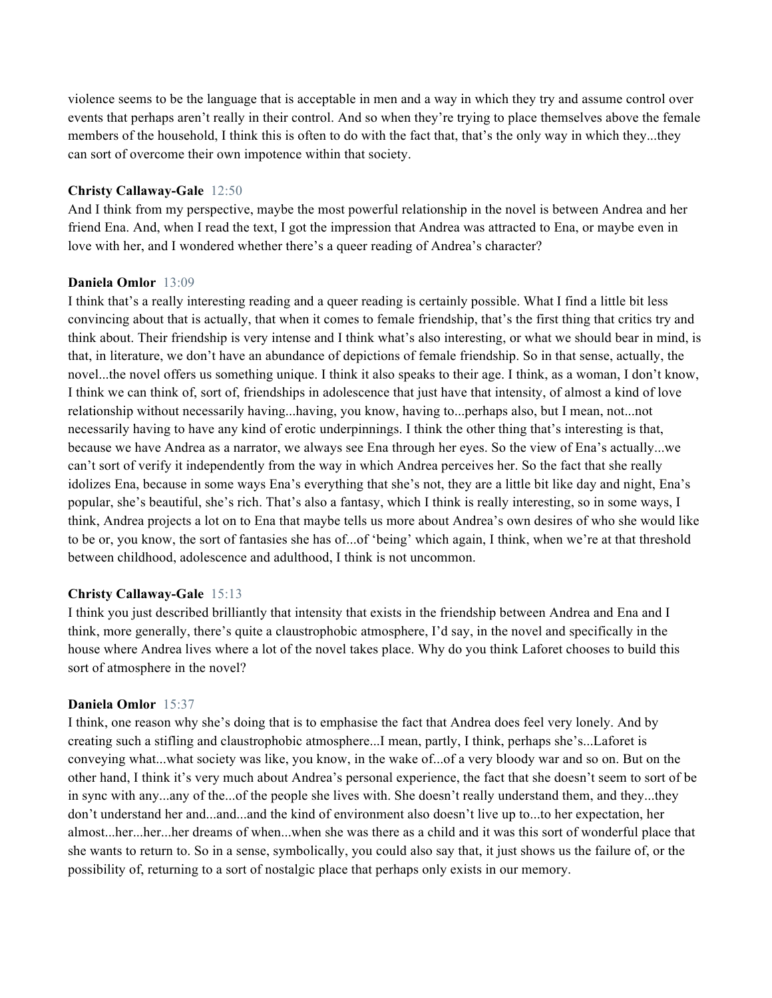violence seems to be the language that is acceptable in men and a way in which they try and assume control over events that perhaps aren't really in their control. And so when they're trying to place themselves above the female members of the household, I think this is often to do with the fact that, that's the only way in which they...they can sort of overcome their own impotence within that society.

# **Christy Callaway-Gale** 12:50

And I think from my perspective, maybe the most powerful relationship in the novel is between Andrea and her friend Ena. And, when I read the text, I got the impression that Andrea was attracted to Ena, or maybe even in love with her, and I wondered whether there's a queer reading of Andrea's character?

# **Daniela Omlor** 13:09

I think that's a really interesting reading and a queer reading is certainly possible. What I find a little bit less convincing about that is actually, that when it comes to female friendship, that's the first thing that critics try and think about. Their friendship is very intense and I think what's also interesting, or what we should bear in mind, is that, in literature, we don't have an abundance of depictions of female friendship. So in that sense, actually, the novel...the novel offers us something unique. I think it also speaks to their age. I think, as a woman, I don't know, I think we can think of, sort of, friendships in adolescence that just have that intensity, of almost a kind of love relationship without necessarily having...having, you know, having to...perhaps also, but I mean, not...not necessarily having to have any kind of erotic underpinnings. I think the other thing that's interesting is that, because we have Andrea as a narrator, we always see Ena through her eyes. So the view of Ena's actually...we can't sort of verify it independently from the way in which Andrea perceives her. So the fact that she really idolizes Ena, because in some ways Ena's everything that she's not, they are a little bit like day and night, Ena's popular, she's beautiful, she's rich. That's also a fantasy, which I think is really interesting, so in some ways, I think, Andrea projects a lot on to Ena that maybe tells us more about Andrea's own desires of who she would like to be or, you know, the sort of fantasies she has of...of 'being' which again, I think, when we're at that threshold between childhood, adolescence and adulthood, I think is not uncommon.

# **Christy Callaway-Gale** 15:13

I think you just described brilliantly that intensity that exists in the friendship between Andrea and Ena and I think, more generally, there's quite a claustrophobic atmosphere, I'd say, in the novel and specifically in the house where Andrea lives where a lot of the novel takes place. Why do you think Laforet chooses to build this sort of atmosphere in the novel?

# **Daniela Omlor** 15:37

I think, one reason why she's doing that is to emphasise the fact that Andrea does feel very lonely. And by creating such a stifling and claustrophobic atmosphere...I mean, partly, I think, perhaps she's...Laforet is conveying what...what society was like, you know, in the wake of...of a very bloody war and so on. But on the other hand, I think it's very much about Andrea's personal experience, the fact that she doesn't seem to sort of be in sync with any...any of the...of the people she lives with. She doesn't really understand them, and they...they don't understand her and...and...and the kind of environment also doesn't live up to...to her expectation, her almost...her...her...her dreams of when...when she was there as a child and it was this sort of wonderful place that she wants to return to. So in a sense, symbolically, you could also say that, it just shows us the failure of, or the possibility of, returning to a sort of nostalgic place that perhaps only exists in our memory.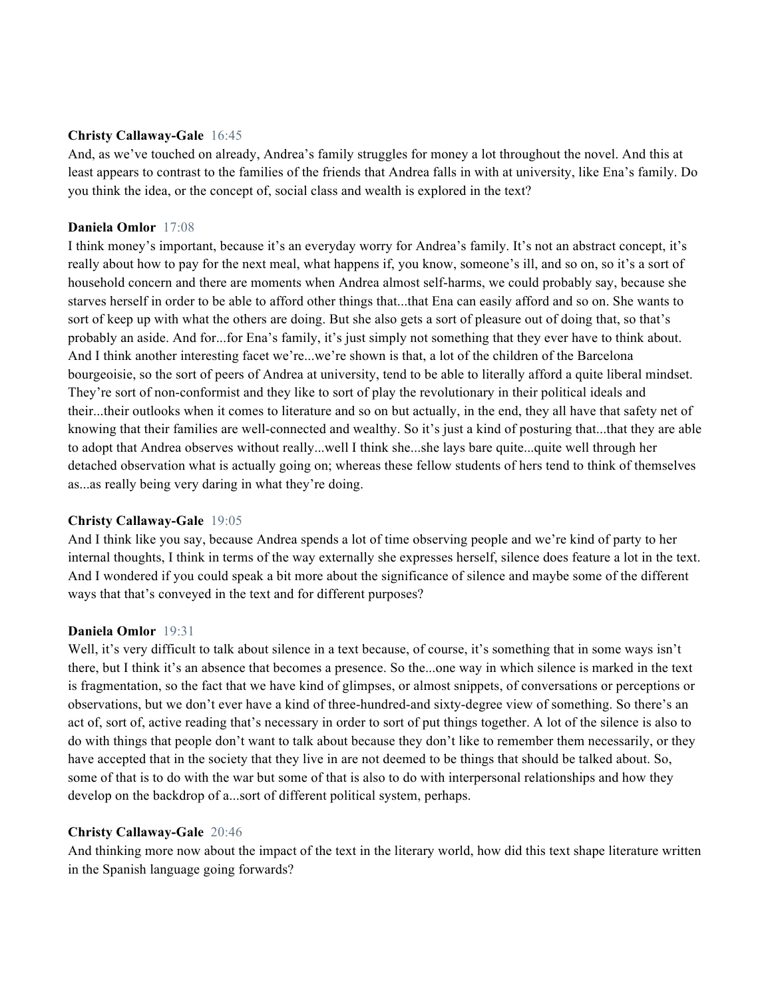## **Christy Callaway-Gale** 16:45

And, as we've touched on already, Andrea's family struggles for money a lot throughout the novel. And this at least appears to contrast to the families of the friends that Andrea falls in with at university, like Ena's family. Do you think the idea, or the concept of, social class and wealth is explored in the text?

## **Daniela Omlor** 17:08

I think money's important, because it's an everyday worry for Andrea's family. It's not an abstract concept, it's really about how to pay for the next meal, what happens if, you know, someone's ill, and so on, so it's a sort of household concern and there are moments when Andrea almost self-harms, we could probably say, because she starves herself in order to be able to afford other things that...that Ena can easily afford and so on. She wants to sort of keep up with what the others are doing. But she also gets a sort of pleasure out of doing that, so that's probably an aside. And for...for Ena's family, it's just simply not something that they ever have to think about. And I think another interesting facet we're...we're shown is that, a lot of the children of the Barcelona bourgeoisie, so the sort of peers of Andrea at university, tend to be able to literally afford a quite liberal mindset. They're sort of non-conformist and they like to sort of play the revolutionary in their political ideals and their...their outlooks when it comes to literature and so on but actually, in the end, they all have that safety net of knowing that their families are well-connected and wealthy. So it's just a kind of posturing that...that they are able to adopt that Andrea observes without really...well I think she...she lays bare quite...quite well through her detached observation what is actually going on; whereas these fellow students of hers tend to think of themselves as...as really being very daring in what they're doing.

#### **Christy Callaway-Gale** 19:05

And I think like you say, because Andrea spends a lot of time observing people and we're kind of party to her internal thoughts, I think in terms of the way externally she expresses herself, silence does feature a lot in the text. And I wondered if you could speak a bit more about the significance of silence and maybe some of the different ways that that's conveyed in the text and for different purposes?

#### **Daniela Omlor** 19:31

Well, it's very difficult to talk about silence in a text because, of course, it's something that in some ways isn't there, but I think it's an absence that becomes a presence. So the...one way in which silence is marked in the text is fragmentation, so the fact that we have kind of glimpses, or almost snippets, of conversations or perceptions or observations, but we don't ever have a kind of three-hundred-and sixty-degree view of something. So there's an act of, sort of, active reading that's necessary in order to sort of put things together. A lot of the silence is also to do with things that people don't want to talk about because they don't like to remember them necessarily, or they have accepted that in the society that they live in are not deemed to be things that should be talked about. So, some of that is to do with the war but some of that is also to do with interpersonal relationships and how they develop on the backdrop of a...sort of different political system, perhaps.

# **Christy Callaway-Gale** 20:46

And thinking more now about the impact of the text in the literary world, how did this text shape literature written in the Spanish language going forwards?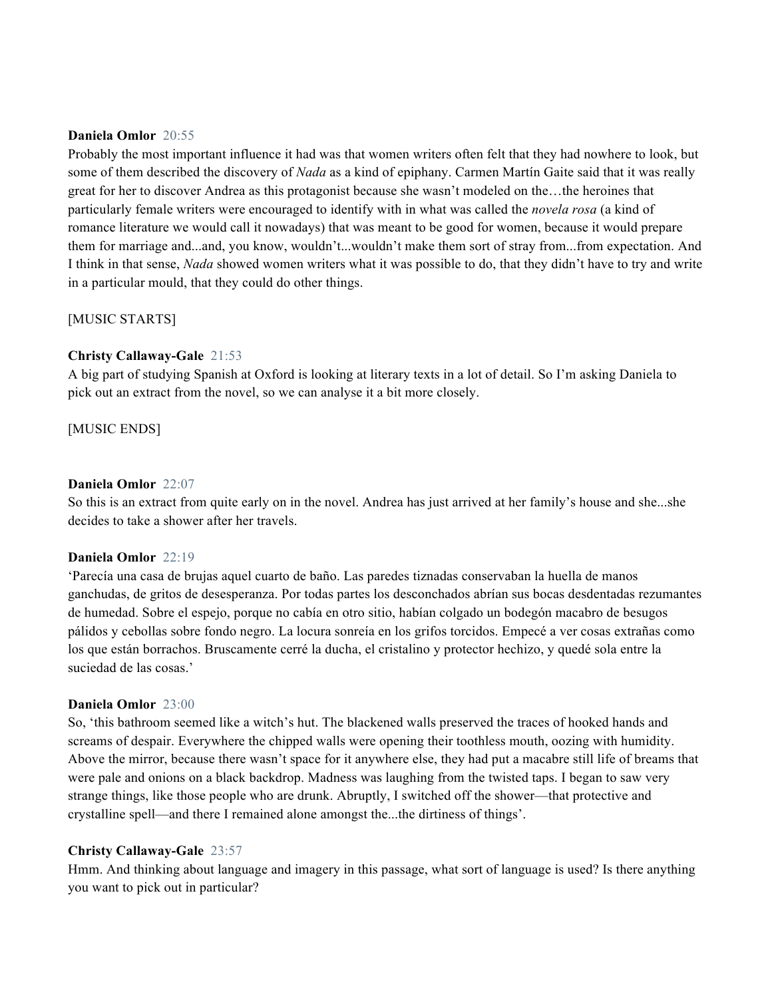### **Daniela Omlor** 20:55

Probably the most important influence it had was that women writers often felt that they had nowhere to look, but some of them described the discovery of *Nada* as a kind of epiphany. Carmen Martín Gaite said that it was really great for her to discover Andrea as this protagonist because she wasn't modeled on the…the heroines that particularly female writers were encouraged to identify with in what was called the *novela rosa* (a kind of romance literature we would call it nowadays) that was meant to be good for women, because it would prepare them for marriage and...and, you know, wouldn't...wouldn't make them sort of stray from...from expectation. And I think in that sense, *Nada* showed women writers what it was possible to do, that they didn't have to try and write in a particular mould, that they could do other things.

# [MUSIC STARTS]

# **Christy Callaway-Gale** 21:53

A big part of studying Spanish at Oxford is looking at literary texts in a lot of detail. So I'm asking Daniela to pick out an extract from the novel, so we can analyse it a bit more closely.

[MUSIC ENDS]

## **Daniela Omlor** 22:07

So this is an extract from quite early on in the novel. Andrea has just arrived at her family's house and she...she decides to take a shower after her travels.

### **Daniela Omlor** 22:19

'Parecía una casa de brujas aquel cuarto de baño. Las paredes tiznadas conservaban la huella de manos ganchudas, de gritos de desesperanza. Por todas partes los desconchados abrían sus bocas desdentadas rezumantes de humedad. Sobre el espejo, porque no cabía en otro sitio, habían colgado un bodegón macabro de besugos pálidos y cebollas sobre fondo negro. La locura sonreía en los grifos torcidos. Empecé a ver cosas extrañas como los que están borrachos. Bruscamente cerré la ducha, el cristalino y protector hechizo, y quedé sola entre la suciedad de las cosas.'

#### **Daniela Omlor** 23:00

So, 'this bathroom seemed like a witch's hut. The blackened walls preserved the traces of hooked hands and screams of despair. Everywhere the chipped walls were opening their toothless mouth, oozing with humidity. Above the mirror, because there wasn't space for it anywhere else, they had put a macabre still life of breams that were pale and onions on a black backdrop. Madness was laughing from the twisted taps. I began to saw very strange things, like those people who are drunk. Abruptly, I switched off the shower—that protective and crystalline spell—and there I remained alone amongst the...the dirtiness of things'.

# **Christy Callaway-Gale** 23:57

Hmm. And thinking about language and imagery in this passage, what sort of language is used? Is there anything you want to pick out in particular?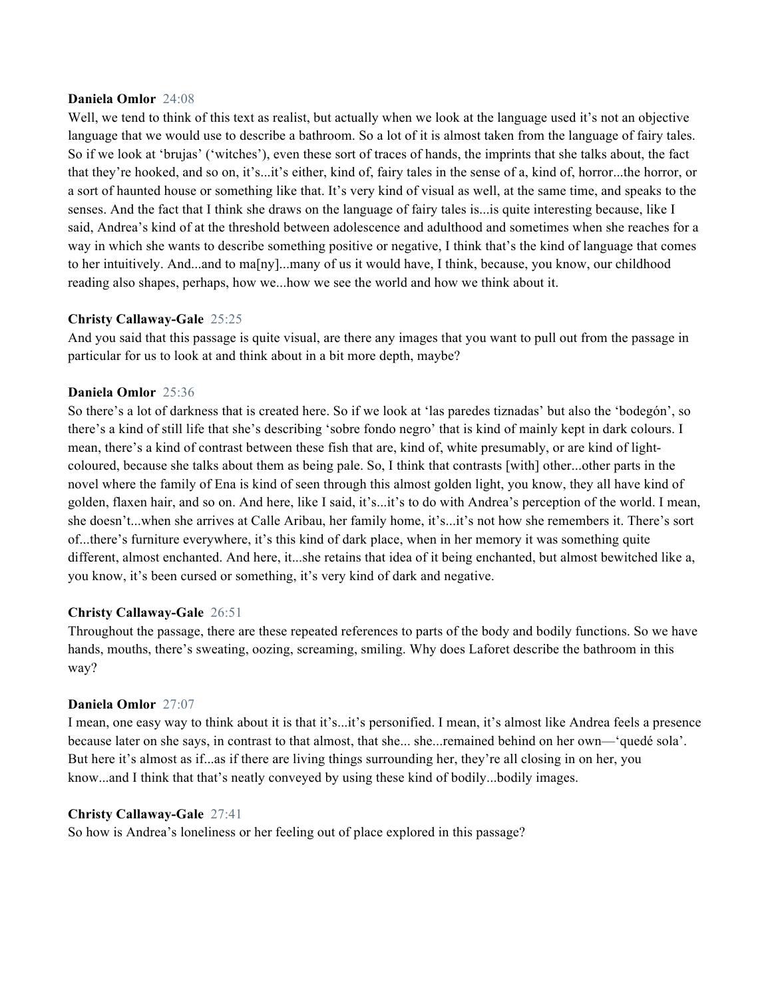### **Daniela Omlor** 24:08

Well, we tend to think of this text as realist, but actually when we look at the language used it's not an objective language that we would use to describe a bathroom. So a lot of it is almost taken from the language of fairy tales. So if we look at 'brujas' ('witches'), even these sort of traces of hands, the imprints that she talks about, the fact that they're hooked, and so on, it's...it's either, kind of, fairy tales in the sense of a, kind of, horror...the horror, or a sort of haunted house or something like that. It's very kind of visual as well, at the same time, and speaks to the senses. And the fact that I think she draws on the language of fairy tales is...is quite interesting because, like I said, Andrea's kind of at the threshold between adolescence and adulthood and sometimes when she reaches for a way in which she wants to describe something positive or negative, I think that's the kind of language that comes to her intuitively. And...and to ma[ny]...many of us it would have, I think, because, you know, our childhood reading also shapes, perhaps, how we...how we see the world and how we think about it.

# **Christy Callaway-Gale** 25:25

And you said that this passage is quite visual, are there any images that you want to pull out from the passage in particular for us to look at and think about in a bit more depth, maybe?

## **Daniela Omlor** 25:36

So there's a lot of darkness that is created here. So if we look at 'las paredes tiznadas' but also the 'bodegón', so there's a kind of still life that she's describing 'sobre fondo negro' that is kind of mainly kept in dark colours. I mean, there's a kind of contrast between these fish that are, kind of, white presumably, or are kind of lightcoloured, because she talks about them as being pale. So, I think that contrasts [with] other...other parts in the novel where the family of Ena is kind of seen through this almost golden light, you know, they all have kind of golden, flaxen hair, and so on. And here, like I said, it's...it's to do with Andrea's perception of the world. I mean, she doesn't...when she arrives at Calle Aribau, her family home, it's...it's not how she remembers it. There's sort of...there's furniture everywhere, it's this kind of dark place, when in her memory it was something quite different, almost enchanted. And here, it...she retains that idea of it being enchanted, but almost bewitched like a, you know, it's been cursed or something, it's very kind of dark and negative.

#### **Christy Callaway-Gale** 26:51

Throughout the passage, there are these repeated references to parts of the body and bodily functions. So we have hands, mouths, there's sweating, oozing, screaming, smiling. Why does Laforet describe the bathroom in this way?

### **Daniela Omlor** 27:07

I mean, one easy way to think about it is that it's...it's personified. I mean, it's almost like Andrea feels a presence because later on she says, in contrast to that almost, that she... she...remained behind on her own—'quedé sola'. But here it's almost as if...as if there are living things surrounding her, they're all closing in on her, you know...and I think that that's neatly conveyed by using these kind of bodily...bodily images.

#### **Christy Callaway-Gale** 27:41

So how is Andrea's loneliness or her feeling out of place explored in this passage?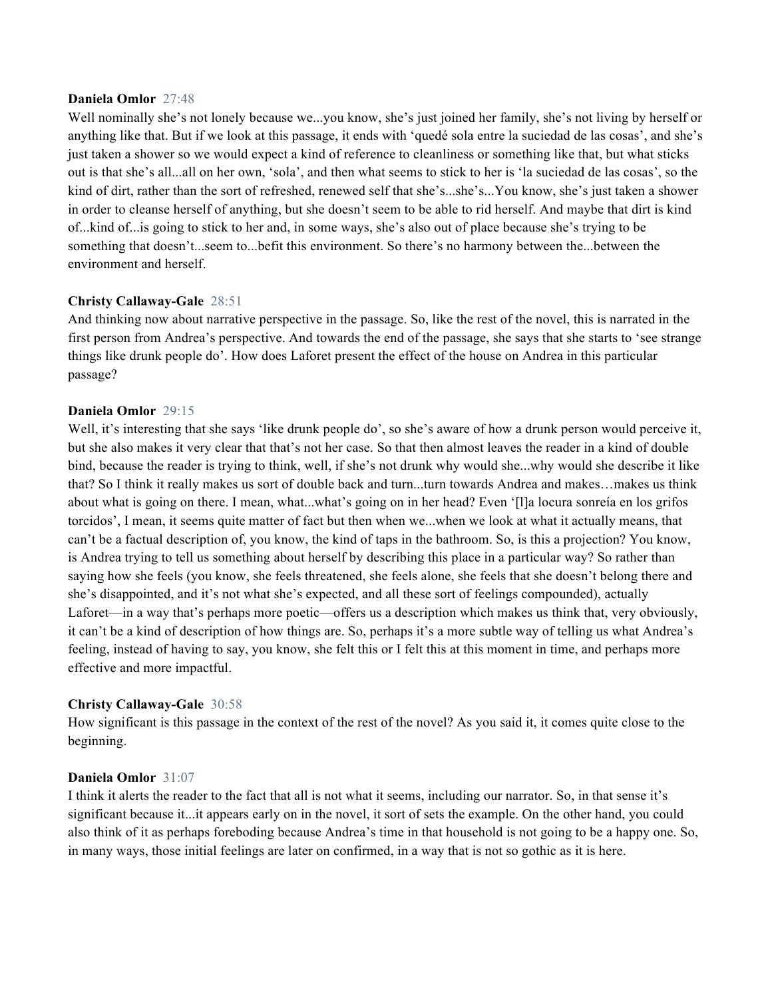#### **Daniela Omlor** 27:48

Well nominally she's not lonely because we...you know, she's just joined her family, she's not living by herself or anything like that. But if we look at this passage, it ends with 'quedé sola entre la suciedad de las cosas', and she's just taken a shower so we would expect a kind of reference to cleanliness or something like that, but what sticks out is that she's all...all on her own, 'sola', and then what seems to stick to her is 'la suciedad de las cosas', so the kind of dirt, rather than the sort of refreshed, renewed self that she's...she's...You know, she's just taken a shower in order to cleanse herself of anything, but she doesn't seem to be able to rid herself. And maybe that dirt is kind of...kind of...is going to stick to her and, in some ways, she's also out of place because she's trying to be something that doesn't...seem to...befit this environment. So there's no harmony between the...between the environment and herself.

## **Christy Callaway-Gale** 28:51

And thinking now about narrative perspective in the passage. So, like the rest of the novel, this is narrated in the first person from Andrea's perspective. And towards the end of the passage, she says that she starts to 'see strange things like drunk people do'. How does Laforet present the effect of the house on Andrea in this particular passage?

### **Daniela Omlor** 29:15

Well, it's interesting that she says 'like drunk people do', so she's aware of how a drunk person would perceive it, but she also makes it very clear that that's not her case. So that then almost leaves the reader in a kind of double bind, because the reader is trying to think, well, if she's not drunk why would she...why would she describe it like that? So I think it really makes us sort of double back and turn...turn towards Andrea and makes…makes us think about what is going on there. I mean, what...what's going on in her head? Even '[l]a locura sonreía en los grifos torcidos', I mean, it seems quite matter of fact but then when we...when we look at what it actually means, that can't be a factual description of, you know, the kind of taps in the bathroom. So, is this a projection? You know, is Andrea trying to tell us something about herself by describing this place in a particular way? So rather than saying how she feels (you know, she feels threatened, she feels alone, she feels that she doesn't belong there and she's disappointed, and it's not what she's expected, and all these sort of feelings compounded), actually Laforet—in a way that's perhaps more poetic—offers us a description which makes us think that, very obviously, it can't be a kind of description of how things are. So, perhaps it's a more subtle way of telling us what Andrea's feeling, instead of having to say, you know, she felt this or I felt this at this moment in time, and perhaps more effective and more impactful.

#### **Christy Callaway-Gale** 30:58

How significant is this passage in the context of the rest of the novel? As you said it, it comes quite close to the beginning.

### **Daniela Omlor** 31:07

I think it alerts the reader to the fact that all is not what it seems, including our narrator. So, in that sense it's significant because it...it appears early on in the novel, it sort of sets the example. On the other hand, you could also think of it as perhaps foreboding because Andrea's time in that household is not going to be a happy one. So, in many ways, those initial feelings are later on confirmed, in a way that is not so gothic as it is here.